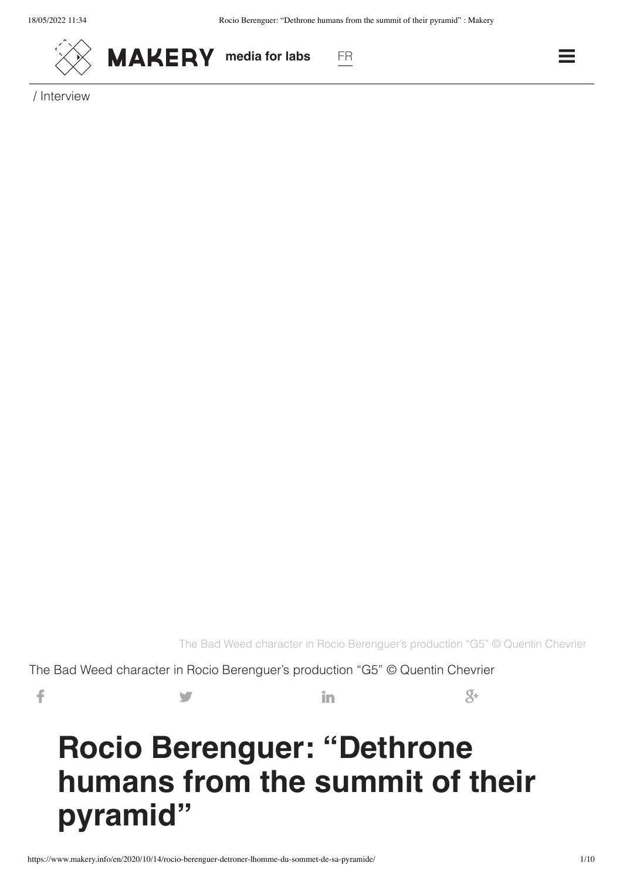



/ Interview

The Bad Weed character in Rocio Berenguer's production "G5" © Quentin Chevrier

The Bad Weed character in Rocio Berenguer's production "G5" © Quentin Chevrier

f  $\mathcal{S}^+$ 

# **Rocio Berenguer: "Dethrone humans from the summit of their pyramid"**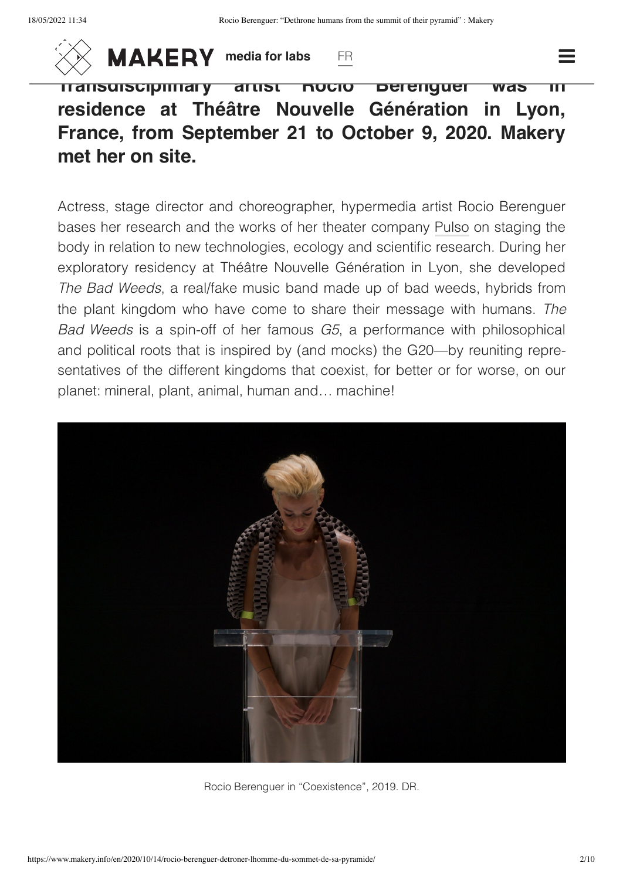

**MAKERY** [media for labs](https://www.makery.info/en) [FR](https://www.makery.info/en?lang=fr)

**[Transdisciplinary](https://www.makery.info/en) artist Rocio Berenguer was residence at Théâtre Nouvelle Génération in Lyon, France, from September 21 to October 9, 2020. Makery met her on site.**

Actress, stage director and choreographer, hypermedia artist Rocio Berenguer bases her research and the works of her theater company [Pulso](https://rocioberenguer.com/) on staging the body in relation to new technologies, ecology and scientific research. During her exploratory residency at Théâtre Nouvelle Génération in Lyon, she developed *The Bad Weeds*, a real/fake music band made up of bad weeds, hybrids from the plant kingdom who have come to share their message with humans. *The Bad Weeds* is a spin-off of her famous *G5*, a performance with philosophical and political roots that is inspired by (and mocks) the G20—by reuniting repre‐ sentatives of the different kingdoms that coexist, for better or for worse, on our planet: mineral, plant, animal, human and… machine!



Rocio Berenguer in "Coexistence", 2019. DR.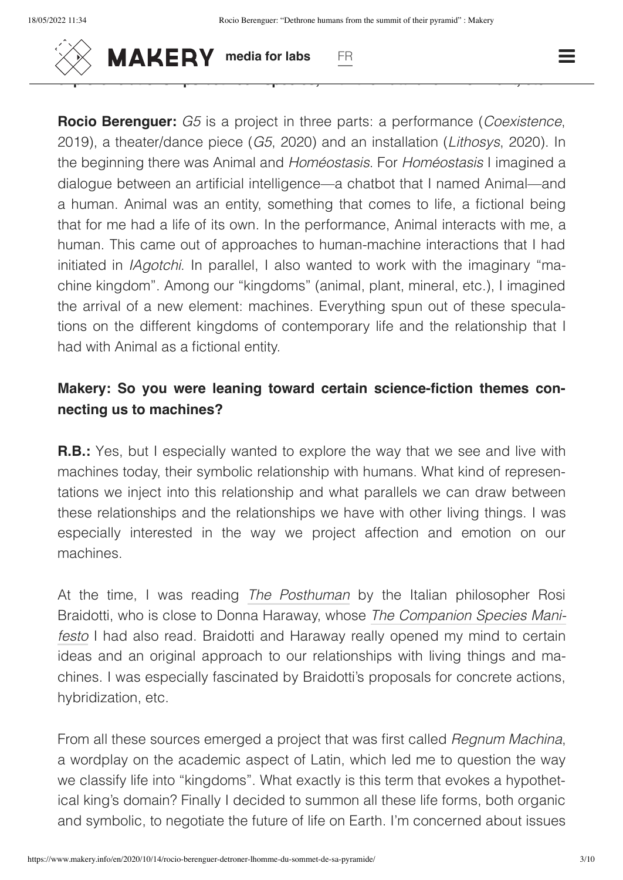

**Makery: What was the genesis of** *G5/Coexistence***? Sitting in your apart‐**  $m \times N$  **MAKERY** media for labs FR

**Rocio Berenguer:** *G5* is a project in three parts: a performance (*Coexistence*, 2019), a theater/dance piece (*G5*, 2020) and an installation (*Lithosys*, 2020). In the beginning there was Animal and *Homéostasis*. For *Homéostasis* I imagined a dialogue between an artificial intelligence—a chatbot that I named Animal—and a human. Animal was an entity, something that comes to life, a fictional being that for me had a life of its own. In the performance, Animal interacts with me, a human. This came out of approaches to human-machine interactions that I had initiated in *IAgotchi*. In parallel, I also wanted to work with the imaginary "ma‐ chine kingdom". Among our "kingdoms" (animal, plant, mineral, etc.), I imagined the arrival of a new element: machines. Everything spun out of these specula‐ tions on the different kingdoms of contemporary life and the relationship that I had with Animal as a fictional entity.

# **Makery: So you were leaning toward certain science-fiction themes con‐ necting us to machines?**

**R.B.:** Yes, but I especially wanted to explore the way that we see and live with machines today, their symbolic relationship with humans. What kind of represen‐ tations we inject into this relationship and what parallels we can draw between these relationships and the relationships we have with other living things. I was especially interested in the way we project affection and emotion on our machines.

At the time, I was reading *The [Posthuman](https://www.wiley.com/en-us/The+Posthuman-p-9780745641584)* by the Italian philosopher Rosi Braidotti, who is close to Donna Haraway, whose *The Companion Species Mani‐ festo* I had also read. Braidotti and [Haraway really opened](https://press.uchicago.edu/ucp/books/book/distributed/C/bo3645022.html) my mind to certain ideas and an original approach to our relationships with living things and ma‐ chines. I was especially fascinated by Braidotti's proposals for concrete actions, hybridization, etc.

From all these sources emerged a project that was first called *Regnum Machina*, a wordplay on the academic aspect of Latin, which led me to question the way we classify life into "kingdoms". What exactly is this term that evokes a hypothetical king's domain? Finally I decided to summon all these life forms, both organic and symbolic, to negotiate the future of life on Earth. I'm concerned about issues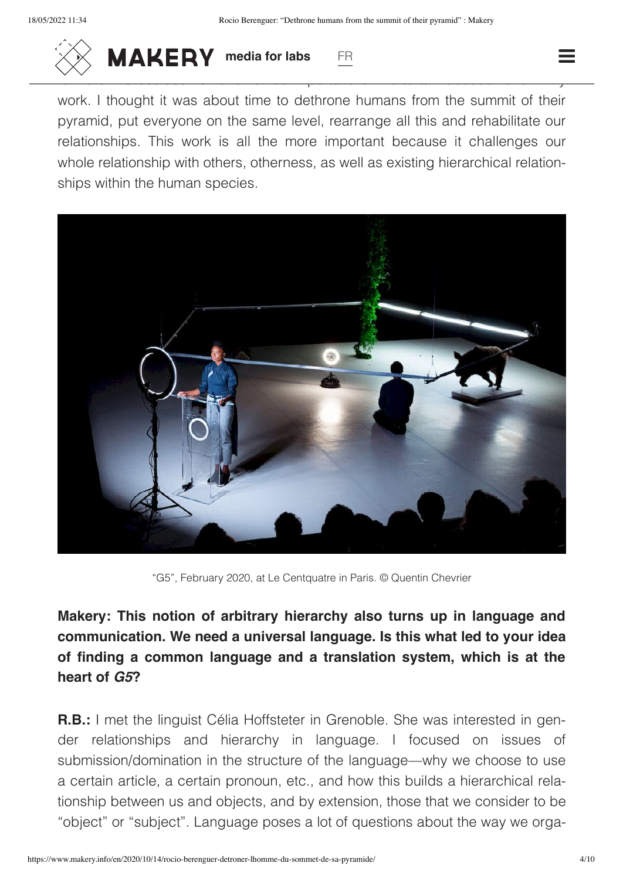

 $\frac{1}{2}$  **MAKERY** media for labs FR and all other and all other media for labs

work. I thought it was about time to dethrone humans from the summit of their pyramid, put everyone on the same level, rearrange all this and rehabilitate our relationships. This work is all the more important because it challenges our whole relationship with others, otherness, as well as existing hierarchical relationships within the human species.



"G5", February 2020, at Le Centquatre in Paris. © Quentin Chevrier

**Makery: This notion of arbitrary hierarchy also turns up in language and communication. We need a universal language. Is this what led to your idea of finding a common language and a translation system, which is at the heart of** *G5***?**

**R.B.:** I met the linguist Célia Hoffsteter in Grenoble. She was interested in gender relationships and hierarchy in language. I focused on issues of submission/domination in the structure of the language—why we choose to use a certain article, a certain pronoun, etc., and how this builds a hierarchical rela‐ tionship between us and objects, and by extension, those that we consider to be "object" or "subject". Language poses a lot of questions about the way we orga‐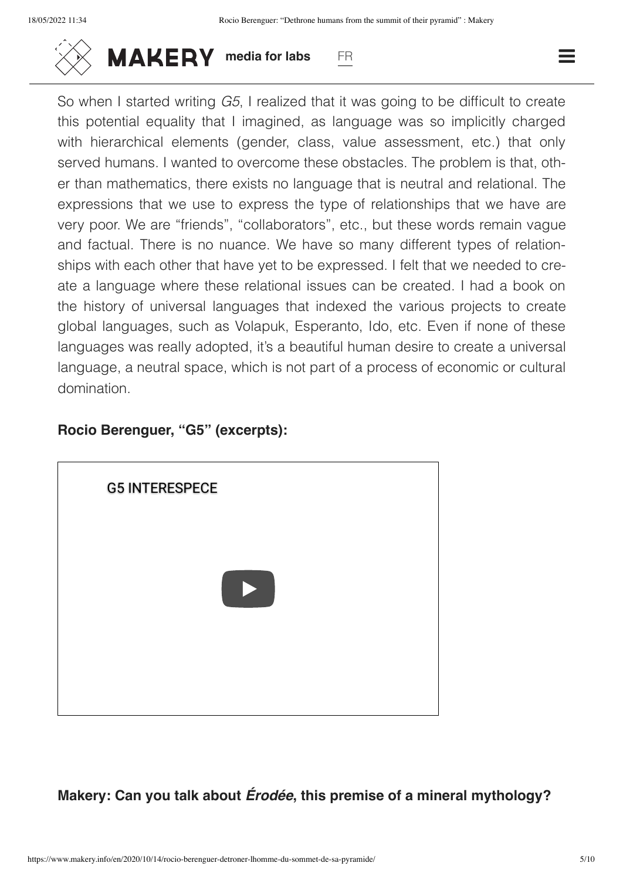

 $\frac{1}{2}$  **MAKERY** media for labs FR **FR** THINGS.

So when I started writing *G5*, I realized that it was going to be difficult to create this potential equality that I imagined, as language was so implicitly charged with hierarchical elements (gender, class, value assessment, etc.) that only served humans. I wanted to overcome these obstacles. The problem is that, oth‐ er than mathematics, there exists no language that is neutral and relational. The expressions that we use to express the type of relationships that we have are very poor. We are "friends", "collaborators", etc., but these words remain vague and factual. There is no nuance. We have so many different types of relation‐ ships with each other that have yet to be expressed. I felt that we needed to create a language where these relational issues can be created. I had a book on the history of universal languages that indexed the various projects to create global languages, such as Volapuk, Esperanto, Ido, etc. Even if none of these languages was really adopted, it's a beautiful human desire to create a universal language, a neutral space, which is not part of a process of economic or cultural domination.

#### **Rocio Berenguer, "G5" (excerpts):**



**Makery: Can you talk about** *Érodée***, this premise of a mineral mythology?**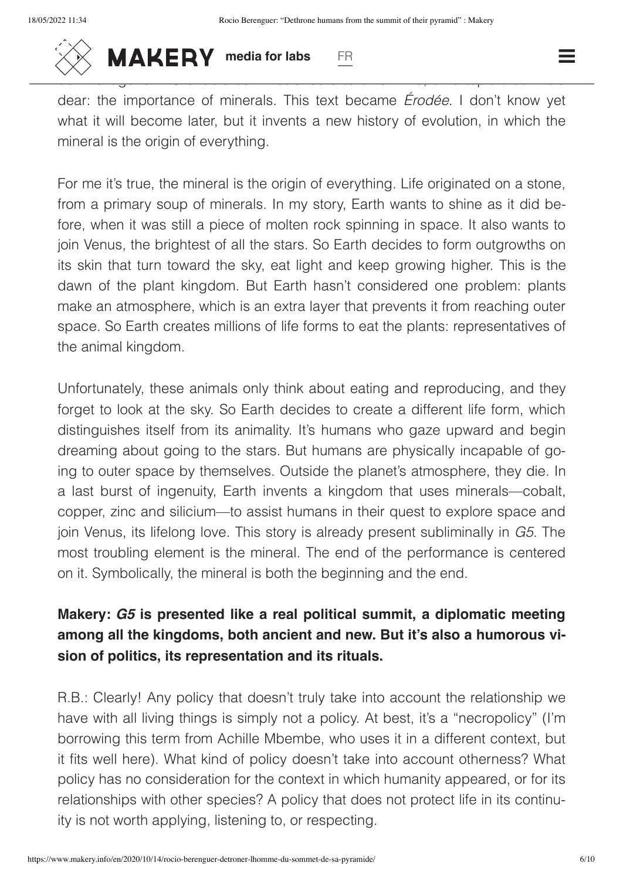

 $\frac{1}{2}$  **MAKERY** [media for labs](https://www.makery.info/en) FR **FR** Theory Theory Theory Theory Theory Theory Theory Theory Theory Theory Theory Theory Theory Theory Theory Theory Theory Theory Theory Theory Theory Theory Theory Theory Theory Theo

dear: the importance of minerals. This text became *Érodée*. I don't know yet what it will become later, but it invents a new history of evolution, in which the mineral is the origin of everything.

For me it's true, the mineral is the origin of everything. Life originated on a stone, from a primary soup of minerals. In my story, Earth wants to shine as it did be‐ fore, when it was still a piece of molten rock spinning in space. It also wants to join Venus, the brightest of all the stars. So Earth decides to form outgrowths on its skin that turn toward the sky, eat light and keep growing higher. This is the dawn of the plant kingdom. But Earth hasn't considered one problem: plants make an atmosphere, which is an extra layer that prevents it from reaching outer space. So Earth creates millions of life forms to eat the plants: representatives of the animal kingdom.

Unfortunately, these animals only think about eating and reproducing, and they forget to look at the sky. So Earth decides to create a different life form, which distinguishes itself from its animality. It's humans who gaze upward and begin dreaming about going to the stars. But humans are physically incapable of go‐ ing to outer space by themselves. Outside the planet's atmosphere, they die. In a last burst of ingenuity, Earth invents a kingdom that uses minerals—cobalt, copper, zinc and silicium—to assist humans in their quest to explore space and join Venus, its lifelong love. This story is already present subliminally in *G5*. The most troubling element is the mineral. The end of the performance is centered on it. Symbolically, the mineral is both the beginning and the end.

# **Makery:** *G5* **is presented like a real political summit, a diplomatic meeting among all the kingdoms, both ancient and new. But it's also a humorous vi‐ sion of politics, its representation and its rituals.**

R.B.: Clearly! Any policy that doesn't truly take into account the relationship we have with all living things is simply not a policy. At best, it's a "necropolicy" (I'm borrowing this term from Achille Mbembe, who uses it in a different context, but it fits well here). What kind of policy doesn't take into account otherness? What policy has no consideration for the context in which humanity appeared, or for its relationships with other species? A policy that does not protect life in its continu‐ ity is not worth applying, listening to, or respecting.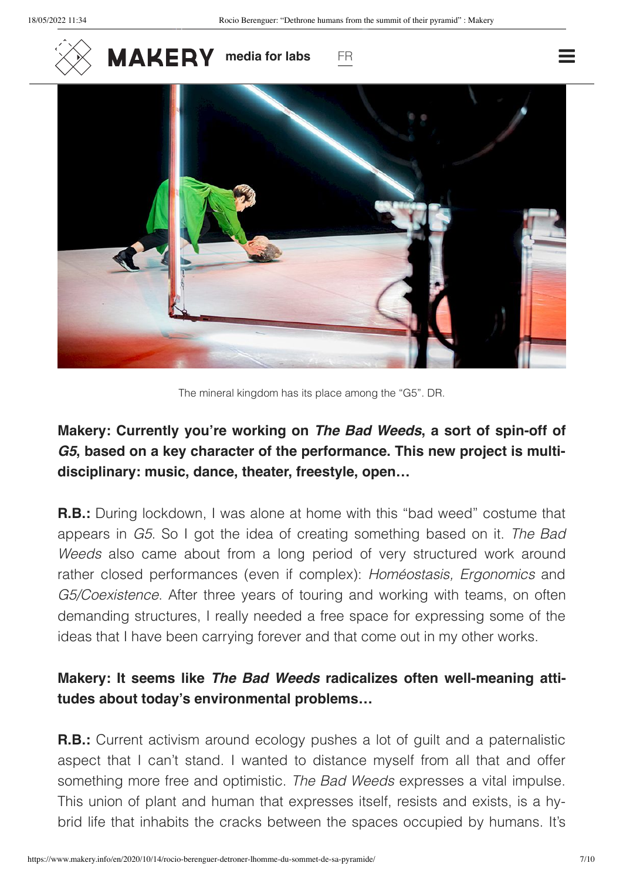



The mineral kingdom has its place among the "G5". DR.

### **Makery: Currently you're working on** *The Bad Weeds***, a sort of spin-off of** *G5***, based on a key character of the performance. This new project is multi‐ disciplinary: music, dance, theater, freestyle, open…**

**R.B.:** During lockdown, I was alone at home with this "bad weed" costume that appears in *G5*. So I got the idea of creating something based on it. *The Bad Weeds* also came about from a long period of very structured work around rather closed performances (even if complex): *Homéostasis, Ergonomics* and *G5/Coexistence*. After three years of touring and working with teams, on often demanding structures, I really needed a free space for expressing some of the ideas that I have been carrying forever and that come out in my other works.

#### **Makery: It seems like** *The Bad Weeds* **radicalizes often well-meaning atti‐ tudes about today's environmental problems…**

**R.B.:** Current activism around ecology pushes a lot of guilt and a paternalistic aspect that I can't stand. I wanted to distance myself from all that and offer something more free and optimistic. *The Bad Weeds* expresses a vital impulse. This union of plant and human that expresses itself, resists and exists, is a hy‐ brid life that inhabits the cracks between the spaces occupied by humans. It's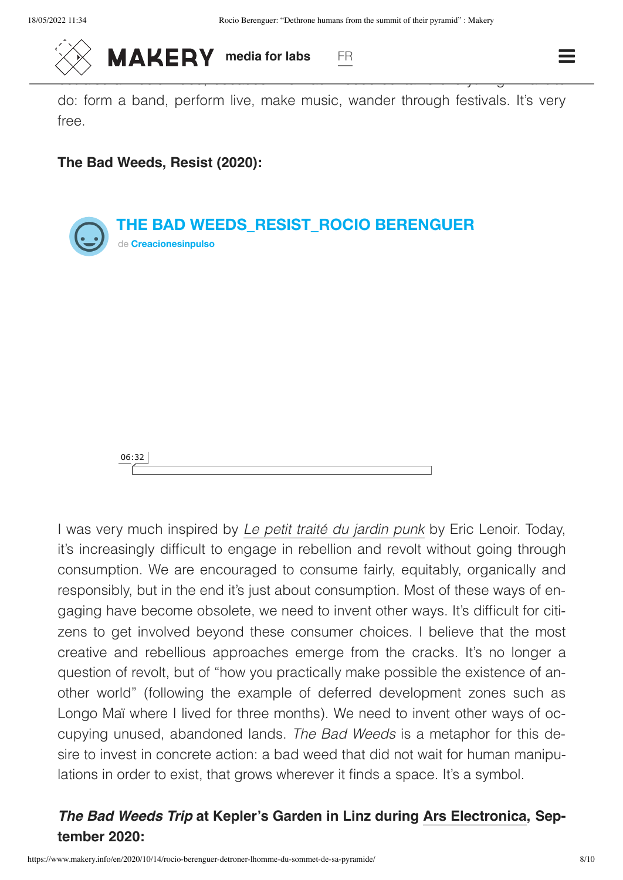

 $\frac{1}{2}$  **MAKERY** [media for labs](https://www.makery.info/en) FR **FR FR FR** 

do: form a band, perform live, make music, wander through festivals. It's very free.

#### **The Bad Weeds, Resist (2020):**





I was very much inspired by *Le petit traité du [jardin](https://boutique.terrevivante.org/librairie/livres/4140/champs-d-action/458-petit-traite-du-jardin-punk.htm) punk* by Eric Lenoir. Today, it's increasingly difficult to engage in rebellion and revolt without going through consumption. We are encouraged to consume fairly, equitably, organically and responsibly, but in the end it's just about consumption. Most of these ways of en‐ gaging have become obsolete, we need to invent other ways. It's difficult for citi‐ zens to get involved beyond these consumer choices. I believe that the most creative and rebellious approaches emerge from the cracks. It's no longer a question of revolt, but of "how you practically make possible the existence of an‐ other world" (following the example of deferred development zones such as Longo Maï where I lived for three months). We need to invent other ways of oc‐ cupying unused, abandoned lands. *The Bad Weeds* is a metaphor for this de‐ sire to invest in concrete action: a bad weed that did not wait for human manipulations in order to exist, that grows wherever it finds a space. It's a symbol.

#### *The Bad Weeds Trip* **at Kepler's Garden in Linz during [Ars Electronica,](https://ars.electronica.art/keplersgardens/en/bad-weeds-trips/) Sep‐ tember 2020:**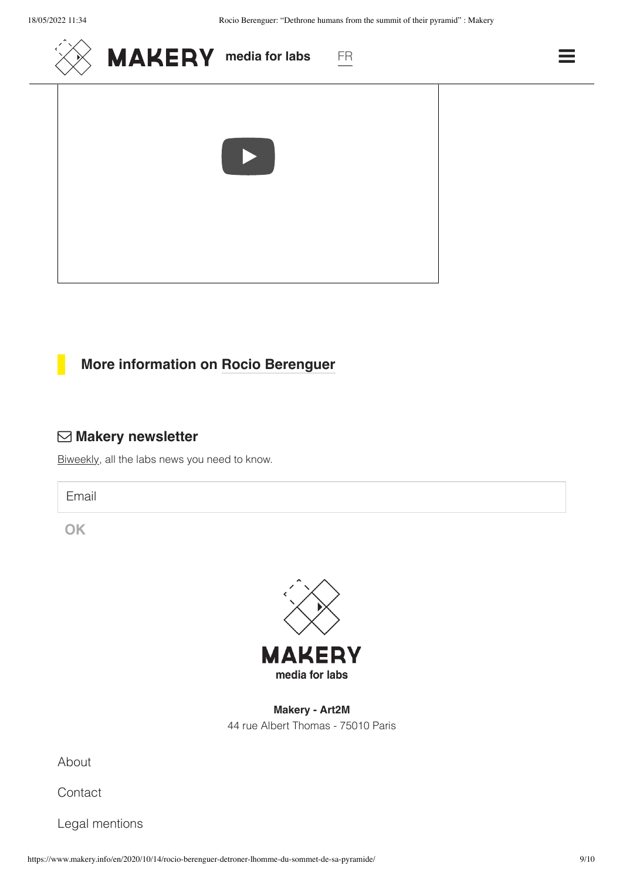

#### **More information on [Rocio Berenguer](https://rocioberenguer.com/)**

#### **Makery newsletter**

[Biweekly,](http://us8.campaign-archive2.com/home/?u=3d717a35eccdf20bcb7289ad6&id=b6d71c937a) all the labs news you need to know.

Email

**OK**



**Makery - Art2M** 44 rue Albert Thomas - 75010 Paris

[About](https://www.makery.info/en/about/)

**[Contact](https://www.makery.info/en/contact/)** 

Legal [mentions](https://www.makery.info/en/legal-mentions/)